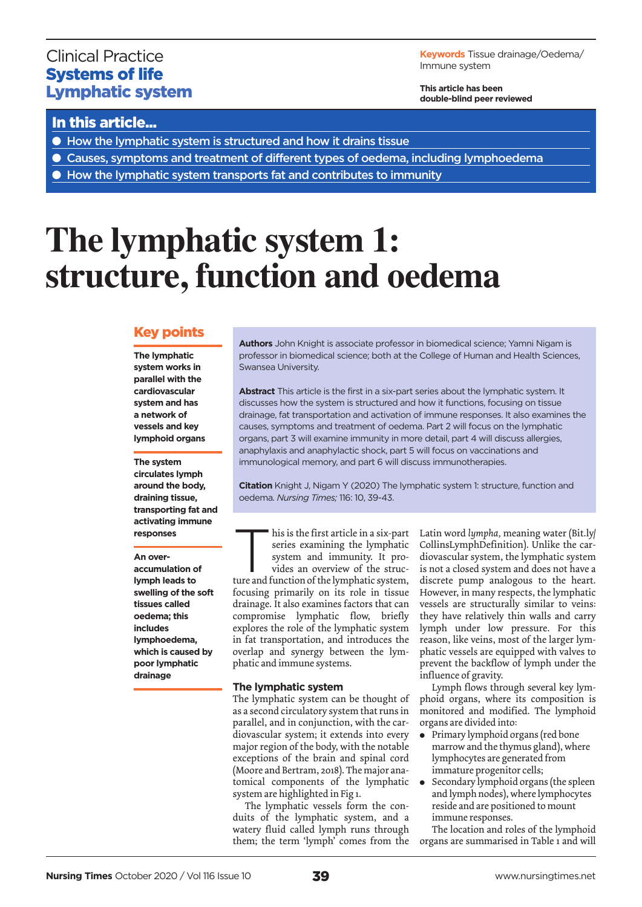## Clinical Practice Systems of life Lymphatic system

**Keywords** Tissue drainage/Oedema/ Immune system

**This article has been double-blind peer reviewed**

## In this article...

- How the lymphatic system is structured and how it drains tissue
- Causes, symptoms and treatment of different types of oedema, including lymphoedema
- How the lymphatic system transports fat and contributes to immunity

# **The lymphatic system 1: structure, function and oedema**

### Key points

**The lymphatic system works in parallel with the cardiovascular system and has a network of vessels and key lymphoid organs**

**The system circulates lymph around the body, draining tissue, transporting fat and activating immune responses**

**An overaccumulation of lymph leads to swelling of the soft tissues called oedema; this includes lymphoedema,** 

**which is caused by poor lymphatic drainage** 

**Authors** John Knight is associate professor in biomedical science; Yamni Nigam is professor in biomedical science; both at the College of Human and Health Sciences, Swansea University.

**Abstract** This article is the first in a six-part series about the lymphatic system. It discusses how the system is structured and how it functions, focusing on tissue drainage, fat transportation and activation of immune responses. It also examines the causes, symptoms and treatment of oedema. Part 2 will focus on the lymphatic organs, part 3 will examine immunity in more detail, part 4 will discuss allergies, anaphylaxis and anaphylactic shock, part 5 will focus on vaccinations and immunological memory, and part 6 will discuss immunotherapies.

**Citation** Knight J, Nigam Y (2020) The lymphatic system 1: structure, function and oedema. *Nursing Times;* 116: 10, 39-43.

his is the first article in a six-part series examining the lymphatic system and immunity. It pro-

vides an overview of the structure and function of the lymphatic system, focusing primarily on its role in tissue drainage. It also examines factors that can compromise lymphatic flow, briefly explores the role of the lymphatic system in fat transportation, and introduces the overlap and synergy between the lymphatic and immune systems.

### **The lymphatic system**

The lymphatic system can be thought of as a second circulatory system that runs in parallel, and in conjunction, with the cardiovascular system; it extends into every major region of the body, with the notable exceptions of the brain and spinal cord (Moore and Bertram, 2018). The major anatomical components of the lymphatic system are highlighted in Fig 1.

The lymphatic vessels form the conduits of the lymphatic system, and a watery fluid called lymph runs through them; the term 'lymph' comes from the Latin word *lympha,* meaning water (Bit.ly/ CollinsLymphDefinition). Unlike the cardiovascular system, the lymphatic system is not a closed system and does not have a discrete pump analogous to the heart. However, in many respects, the lymphatic vessels are structurally similar to veins: they have relatively thin walls and carry lymph under low pressure. For this reason, like veins, most of the larger lymphatic vessels are equipped with valves to prevent the backflow of lymph under the influence of gravity.

Lymph flows through several key lymphoid organs, where its composition is monitored and modified. The lymphoid organs are divided into:

- Primary lymphoid organs (red bone marrow and the thymus gland), where lymphocytes are generated from immature progenitor cells;
- $\bullet$  Secondary lymphoid organs (the spleen and lymph nodes), where lymphocytes reside and are positioned to mount immune responses.

The location and roles of the lymphoid organs are summarised in Table 1 and will

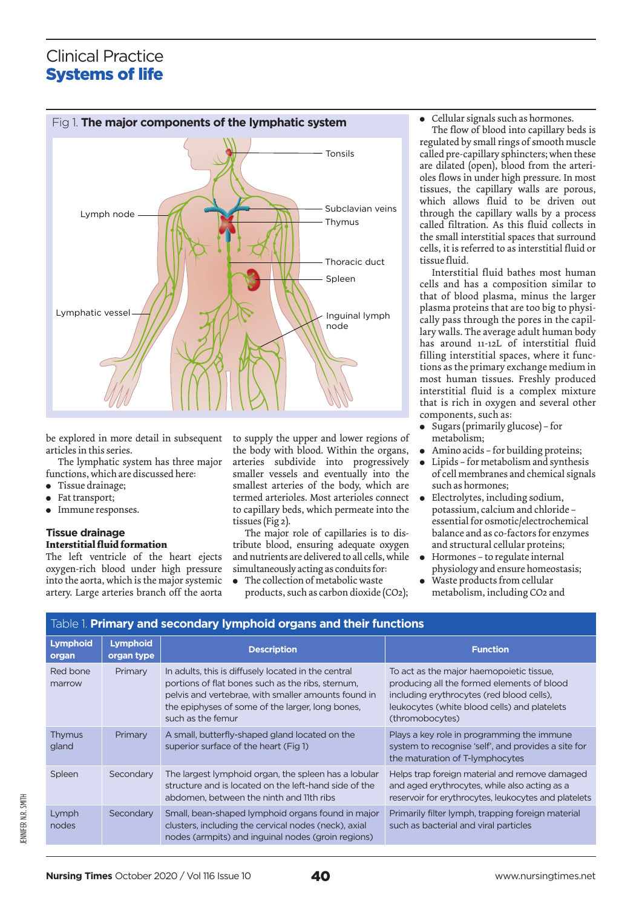# Clinical Practice Systems of life



Table 1. **Primary and secondary lymphoid organs and their functions**

be explored in more detail in subsequent articles in this series.

The lymphatic system has three major functions, which are discussed here:

- Tissue drainage;
- Fat transport;
- $\bullet$  Immune responses.

#### **Tissue drainage Interstitial fluid formation**

The left ventricle of the heart ejects oxygen-rich blood under high pressure into the aorta, which is the major systemic artery. Large arteries branch off the aorta

to supply the upper and lower regions of the body with blood. Within the organs, arteries subdivide into progressively smaller vessels and eventually into the smallest arteries of the body, which are termed arterioles. Most arterioles connect to capillary beds, which permeate into the tissues (Fig 2).

The major role of capillaries is to distribute blood, ensuring adequate oxygen and nutrients are delivered to all cells, while simultaneously acting as conduits for:

 $\bullet$  The collection of metabolic waste products, such as carbon dioxide (CO2);

#### Cellular signals such as hormones.

The flow of blood into capillary beds is regulated by small rings of smooth muscle called pre-capillary sphincters; when these are dilated (open), blood from the arterioles flows in under high pressure. In most tissues, the capillary walls are porous, which allows fluid to be driven out through the capillary walls by a process called filtration. As this fluid collects in the small interstitial spaces that surround cells, it is referred to as interstitial fluid or tissue fluid.

Interstitial fluid bathes most human cells and has a composition similar to that of blood plasma, minus the larger plasma proteins that are too big to physically pass through the pores in the capillary walls. The average adult human body has around 11-12L of interstitial fluid filling interstitial spaces, where it functions as the primary exchange medium in most human tissues. Freshly produced interstitial fluid is a complex mixture that is rich in oxygen and several other components, such as:

- Sugars (primarily glucose) for metabolism;
- Amino acids for building proteins;
- Lipids for metabolism and synthesis of cell membranes and chemical signals such as hormones;
- $\bullet$  Electrolytes, including sodium, potassium, calcium and chloride – essential for osmotic/electrochemical balance and as co-factors for enzymes and structural cellular proteins;
- <sup>l</sup> Hormones to regulate internal physiology and ensure homeostasis;
- Waste products from cellular metabolism, including CO2 and

| <b>Lymphoid</b><br>organ | <b>Lymphoid</b><br>organ type | <b>Description</b>                                                                                                                                                                                                                       | <b>Function</b>                                                                                                                                                                                        |
|--------------------------|-------------------------------|------------------------------------------------------------------------------------------------------------------------------------------------------------------------------------------------------------------------------------------|--------------------------------------------------------------------------------------------------------------------------------------------------------------------------------------------------------|
| Red bone<br>marrow       | Primary                       | In adults, this is diffusely located in the central<br>portions of flat bones such as the ribs, sternum,<br>pelvis and vertebrae, with smaller amounts found in<br>the epiphyses of some of the larger, long bones,<br>such as the femur | To act as the major haemopoietic tissue,<br>producing all the formed elements of blood<br>including erythrocytes (red blood cells),<br>leukocytes (white blood cells) and platelets<br>(thromobocytes) |
| Thymus<br>gland          | Primary                       | A small, butterfly-shaped gland located on the<br>superior surface of the heart (Fig 1)                                                                                                                                                  | Plays a key role in programming the immune<br>system to recognise 'self', and provides a site for<br>the maturation of T-lymphocytes                                                                   |
| Spleen                   | Secondary                     | The largest lymphoid organ, the spleen has a lobular<br>structure and is located on the left-hand side of the<br>abdomen, between the ninth and 11th ribs                                                                                | Helps trap foreign material and remove damaged<br>and aged erythrocytes, while also acting as a<br>reservoir for erythrocytes, leukocytes and platelets                                                |
| Lymph<br>nodes           | Secondary                     | Small, bean-shaped lymphoid organs found in major<br>clusters, including the cervical nodes (neck), axial<br>nodes (armpits) and inguinal nodes (groin regions)                                                                          | Primarily filter lymph, trapping foreign material<br>such as bacterial and viral particles                                                                                                             |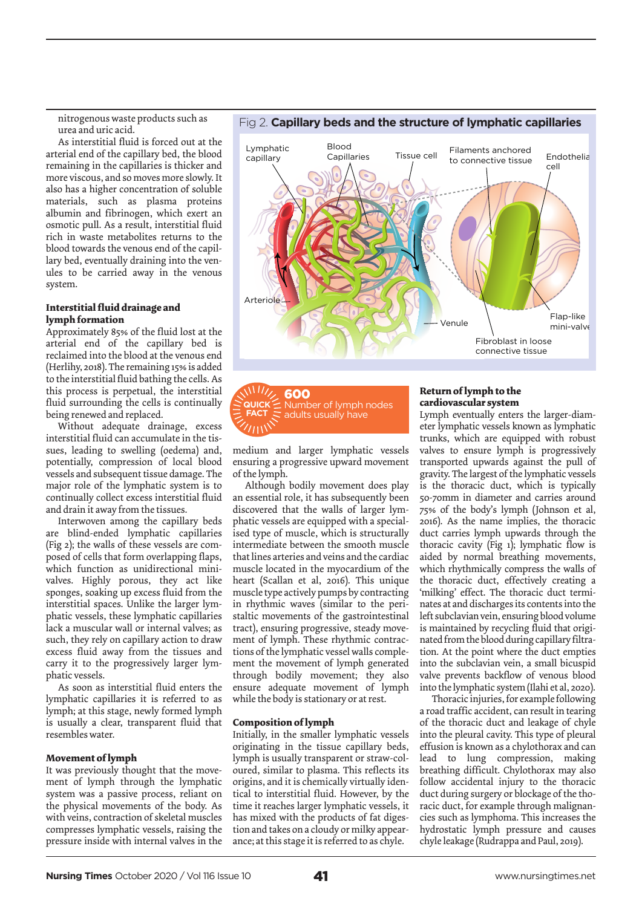nitrogenous waste products such as urea and uric acid.

As interstitial fluid is forced out at the arterial end of the capillary bed, the blood remaining in the capillaries is thicker and more viscous, and so moves more slowly. It also has a higher concentration of soluble materials, such as plasma proteins albumin and fibrinogen, which exert an osmotic pull. As a result, interstitial fluid rich in waste metabolites returns to the blood towards the venous end of the capillary bed, eventually draining into the venules to be carried away in the venous system.

#### **Interstitial fluid drainage and lymph formation**

Approximately 85% of the fluid lost at the arterial end of the capillary bed is reclaimed into the blood at the venous end (Herlihy, 2018). The remaining 15% is added to the interstitial fluid bathing the cells. As this process is perpetual, the interstitial fluid surrounding the cells is continually being renewed and replaced.

Without adequate drainage, excess interstitial fluid can accumulate in the tissues, leading to swelling (oedema) and, potentially, compression of local blood vessels and subsequent tissue damage. The major role of the lymphatic system is to continually collect excess interstitial fluid and drain it away from the tissues.

Interwoven among the capillary beds are blind-ended lymphatic capillaries (Fig 2); the walls of these vessels are composed of cells that form overlapping flaps, which function as unidirectional minivalves. Highly porous, they act like sponges, soaking up excess fluid from the interstitial spaces. Unlike the larger lymphatic vessels, these lymphatic capillaries lack a muscular wall or internal valves; as such, they rely on capillary action to draw excess fluid away from the tissues and carry it to the progressively larger lymphatic vessels.

As soon as interstitial fluid enters the lymphatic capillaries it is referred to as lymph; at this stage, newly formed lymph is usually a clear, transparent fluid that resembles water.

#### **Movement of lymph**

It was previously thought that the movement of lymph through the lymphatic system was a passive process, reliant on the physical movements of the body. As with veins, contraction of skeletal muscles compresses lymphatic vessels, raising the pressure inside with internal valves in the



600 Number of lymph nodes adults usually have  $\overline{\text{M}}$ **FACT**

medium and larger lymphatic vessels ensuring a progressive upward movement of the lymph.

Although bodily movement does play an essential role, it has subsequently been discovered that the walls of larger lymphatic vessels are equipped with a specialised type of muscle, which is structurally intermediate between the smooth muscle that lines arteries and veins and the cardiac muscle located in the myocardium of the heart (Scallan et al, 2016). This unique muscle type actively pumps by contracting in rhythmic waves (similar to the peristaltic movements of the gastrointestinal tract), ensuring progressive, steady movement of lymph. These rhythmic contractions of the lymphatic vessel walls complement the movement of lymph generated through bodily movement; they also ensure adequate movement of lymph while the body is stationary or at rest.

#### **Composition of lymph**

Initially, in the smaller lymphatic vessels originating in the tissue capillary beds, lymph is usually transparent or straw-coloured, similar to plasma. This reflects its origins, and it is chemically virtually identical to interstitial fluid. However, by the time it reaches larger lymphatic vessels, it has mixed with the products of fat digestion and takes on a cloudy or milky appearance; at this stage it is referred to as chyle.

#### **Return of lymph to the cardiovascular system**

Lymph eventually enters the larger-diameter lymphatic vessels known as lymphatic trunks, which are equipped with robust valves to ensure lymph is progressively transported upwards against the pull of gravity. The largest of the lymphatic vessels is the thoracic duct, which is typically 50-70mm in diameter and carries around 75% of the body's lymph (Johnson et al, 2016). As the name implies, the thoracic duct carries lymph upwards through the thoracic cavity (Fig 1); lymphatic flow is aided by normal breathing movements, which rhythmically compress the walls of the thoracic duct, effectively creating a 'milking' effect. The thoracic duct terminates at and discharges its contents into the left subclavian vein, ensuring blood volume is maintained by recycling fluid that originated from the blood during capillary filtration. At the point where the duct empties into the subclavian vein, a small bicuspid valve prevents backflow of venous blood into the lymphatic system (Ilahi et al, 2020).

Thoracic injuries, for example following a road traffic accident, can result in tearing of the thoracic duct and leakage of chyle into the pleural cavity. This type of pleural effusion is known as a chylothorax and can lead to lung compression, making breathing difficult. Chylothorax may also follow accidental injury to the thoracic duct during surgery or blockage of the thoracic duct, for example through malignancies such as lymphoma. This increases the hydrostatic lymph pressure and causes chyle leakage (Rudrappa and Paul, 2019).

#### Fig 2. **Capillary beds and the structure of lymphatic capillaries**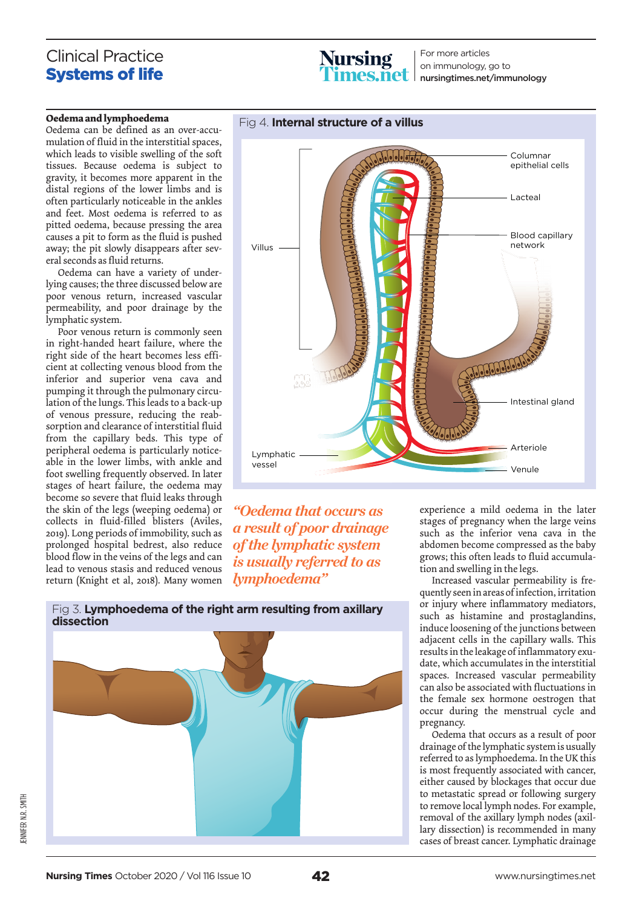## Clinical Practice Systems of life



For more articles on immunology, go to nursingtimes.net/immunology

#### **Oedema and lymphoedema**

Oedema can be defined as an over-accumulation of fluid in the interstitial spaces, which leads to visible swelling of the soft tissues. Because oedema is subject to gravity, it becomes more apparent in the distal regions of the lower limbs and is often particularly noticeable in the ankles and feet. Most oedema is referred to as pitted oedema, because pressing the area causes a pit to form as the fluid is pushed away; the pit slowly disappears after several seconds as fluid returns.

Oedema can have a variety of underlying causes; the three discussed below are poor venous return, increased vascular permeability, and poor drainage by the lymphatic system.

Poor venous return is commonly seen in right-handed heart failure, where the right side of the heart becomes less efficient at collecting venous blood from the inferior and superior vena cava and pumping it through the pulmonary circulation of the lungs. This leads to a back-up of venous pressure, reducing the reabsorption and clearance of interstitial fluid from the capillary beds. This type of peripheral oedema is particularly noticeable in the lower limbs, with ankle and foot swelling frequently observed. In later stages of heart failure, the oedema may become so severe that fluid leaks through the skin of the legs (weeping oedema) or collects in fluid-filled blisters (Aviles, 2019). Long periods of immobility, such as prolonged hospital bedrest, also reduce blood flow in the veins of the legs and can lead to venous stasis and reduced venous return (Knight et al, 2018). Many women



*"Oedema that occurs as a result of poor drainage of the lymphatic system is usually referred to as lymphoedema"*



experience a mild oedema in the later stages of pregnancy when the large veins such as the inferior vena cava in the abdomen become compressed as the baby grows; this often leads to fluid accumulation and swelling in the legs.

Increased vascular permeability is frequently seen in areas of infection, irritation or injury where inflammatory mediators, such as histamine and prostaglandins, induce loosening of the junctions between adjacent cells in the capillary walls. This results in the leakage of inflammatory exudate, which accumulates in the interstitial spaces. Increased vascular permeability can also be associated with fluctuations in the female sex hormone oestrogen that occur during the menstrual cycle and pregnancy.

Oedema that occurs as a result of poor drainage of the lymphatic system is usually referred to as lymphoedema. In the UK this is most frequently associated with cancer, either caused by blockages that occur due to metastatic spread or following surgery to remove local lymph nodes. For example, removal of the axillary lymph nodes (axillary dissection) is recommended in many cases of breast cancer. Lymphatic drainage

Fig 3. **Lymphoedema of the right arm resulting from axillary**